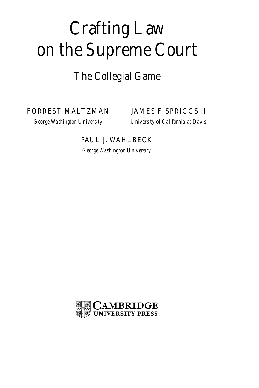# Crafting Law on the Supreme Court

### The Collegial Game

FORREST MALTZMAN JAMES F. SPRIGGS II

*George Washington University University of California at Davis*

PAUL J. WAHLBECK *George Washington University*

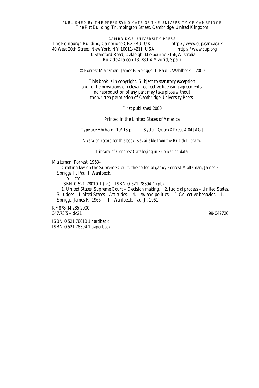#### PUBLISHED BY THE PRESS SYNDICATE OF THE UNIVERSITY OF CAMBRIDGE The Pitt Building, Trumpington Street, Cambridge, United Kingdom

CAMBRIDGE UNIVERSITY PRESS<br>nbridge CB2 2RU, UK http://www.cup.cam.ac.uk The Edinburgh Building, Cambridge CB2 2RU, UK 40 West 20th Street, New York, NY 10011-4211, USA http://www.cup.org 10 Stamford Road, Oakleigh, Melbourne 3166, Australia Ruiz de Alarcón 13, 28014 Madrid, Spain

© Forrest Maltzman, James F. Spriggs II, Paul J. Wahlbeck 2000

This book is in copyright. Subject to statutory exception and to the provisions of relevant collective licensing agreements, no reproduction of any part may take place without the written permission of Cambridge University Press.

First published 2000

Printed in the United States of America

*Typeface* Ehrhardt 10/13 pt. *System* QuarkXPress 4.04 [AG]

*A catalog record for this book is available from the British Library.*

*Library of Congress Cataloging in Publication data*

Maltzman, Forrest, 1963–

Crafting law on the Supreme Court: the collegial game/Forrest Maltzman, James F. Spriggs II, Paul J. Wahlbeck.

p. cm.

ISBN 0-521-78010-1 (hc) – ISBN 0-521-78394-1 (pbk.)

1. United States. Supreme Court – Decision making. 2. Judicial process – United States. 3. Judges – United States – Attitudes. 4. Law and politics. 5. Collective behavior. I. Spriggs, James F., 1966– II. Wahlbeck, Paul J., 1961–

KF878 .M285 2000 347.73′5 – dc21 99-047720

ISBN 0 521 78010 1 hardback ISBN 0 521 78394 1 paperback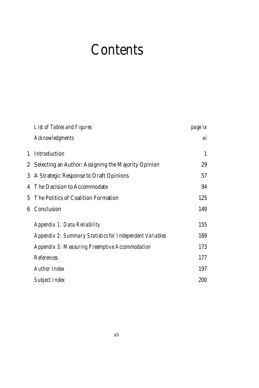### **Contents**

|              | List of Tables and Figures                                      | <i>page</i> ix |
|--------------|-----------------------------------------------------------------|----------------|
|              | Acknowledgments                                                 | хi             |
| $\mathbf{1}$ | Introduction                                                    | 1              |
|              | 2 Selecting an Author: Assigning the Majority Opinion           | 29             |
| 3            | A Strategic Response to Draft Opinions                          | 57             |
|              | 4 The Decision to Accommodate                                   | 94             |
|              | 5 The Politics of Coalition Formation                           | 125            |
| 6            | Conclusion                                                      | 149            |
|              | Appendix 1: Data Reliability                                    | 155            |
|              | <b>Appendix 2: Summary Statistics for Independent Variables</b> | 169            |
|              | <b>Appendix 3: Measuring Preemptive Accommodation</b>           | 173            |
|              | References                                                      | 177            |
|              | <b>Author Index</b>                                             | 197            |
|              | <b>Subject Index</b>                                            | 200            |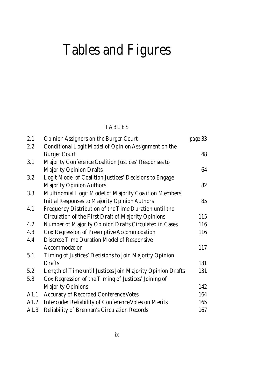## Tables and Figures

### TABLES

| 2.1  | <b>Opinion Assignors on the Burger Court</b>                | page 33 |
|------|-------------------------------------------------------------|---------|
| 2.2  | Conditional Logit Model of Opinion Assignment on the        |         |
|      | <b>Burger Court</b>                                         | 48      |
| 3.1  | Majority Conference Coalition Justices' Responses to        |         |
|      | <b>Majority Opinion Drafts</b>                              | 64      |
| 3.2  | Logit Model of Coalition Justices' Decisions to Engage      |         |
|      | <b>Majority Opinion Authors</b>                             | 82      |
| 3.3  | Multinomial Logit Model of Majority Coalition Members'      |         |
|      | <b>Initial Responses to Majority Opinion Authors</b>        | 85      |
| 4.1  | Frequency Distribution of the Time Duration until the       |         |
|      | <b>Circulation of the First Draft of Majority Opinions</b>  | 115     |
| 4.2  | Number of Majority Opinion Drafts Circulated in Cases       | 116     |
| 4.3  | <b>Cox Regression of Preemptive Accommodation</b>           | 116     |
| 4.4  | <b>Discrete Time Duration Model of Responsive</b>           |         |
|      | Accommodation                                               | 117     |
| 5.1  | Timing of Justices' Decisions to Join Majority Opinion      |         |
|      | <b>Drafts</b>                                               | 131     |
| 5.2  | Length of Time until Justices Join Majority Opinion Drafts  | 131     |
| 5.3  | Cox Regression of the Timing of Justices' Joining of        |         |
|      | <b>Majority Opinions</b>                                    | 142     |
| A1.1 | <b>Accuracy of Recorded Conference Votes</b>                | 164     |
| A1.2 | <b>Intercoder Reliability of Conference Votes on Merits</b> | 165     |
| A1.3 | Reliability of Brennan's Circulation Records                | 167     |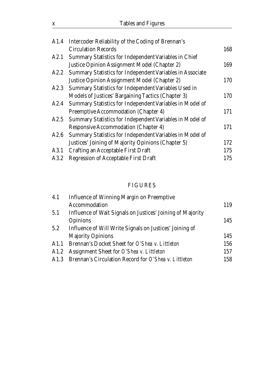| A1.4 | Intercoder Reliability of the Coding of Brennan's                |     |
|------|------------------------------------------------------------------|-----|
|      | <b>Circulation Records</b>                                       | 168 |
| A2.1 | Summary Statistics for Independent Variables in Chief            |     |
|      | <b>Justice Opinion Assignment Model (Chapter 2)</b>              | 169 |
| A2.2 | <b>Summary Statistics for Independent Variables in Associate</b> |     |
|      | <b>Justice Opinion Assignment Model (Chapter 2)</b>              | 170 |
| A2.3 | Summary Statistics for Independent Variables Used in             |     |
|      | Models of Justices' Bargaining Tactics (Chapter 3)               | 170 |
| A2.4 | Summary Statistics for Independent Variables in Model of         |     |
|      | <b>Preemptive Accommodation (Chapter 4)</b>                      | 171 |
| A2.5 | Summary Statistics for Independent Variables in Model of         |     |
|      | <b>Responsive Accommodation (Chapter 4)</b>                      | 171 |
| A2.6 | Summary Statistics for Independent Variables in Model of         |     |
|      | Justices' Joining of Majority Opinions (Chapter 5)               | 172 |
| A3.1 | <b>Crafting an Acceptable First Draft</b>                        | 175 |
| A3.2 | <b>Regression of Acceptable First Draft</b>                      | 175 |

### FIGURES

| <b>Influence of Winning Margin on Preemptive</b>           |                                                                                                        |
|------------------------------------------------------------|--------------------------------------------------------------------------------------------------------|
| Accommodation                                              | 119                                                                                                    |
| Influence of Wait Signals on Justices' Joining of Majority |                                                                                                        |
| <b>Opinions</b>                                            | 145                                                                                                    |
| Influence of Will Write Signals on Justices' Joining of    |                                                                                                        |
| <b>Majority Opinions</b>                                   | 145                                                                                                    |
|                                                            | 156                                                                                                    |
| Assignment Sheet for O'Shea v. Littleton                   | 157                                                                                                    |
|                                                            | 158                                                                                                    |
|                                                            | Brennan's Docket Sheet for O'Shea v. Littleton<br>Brennan's Circulation Record for O'Shea v. Littleton |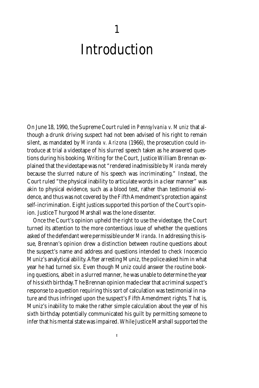### 1 Introduction

On June 18, 1990, the Supreme Court ruled in *Pennsylvania v. Muniz* that although a drunk driving suspect had not been advised of his right to remain silent, as mandated by *Miranda v. Arizona* (1966), the prosecution could introduce at trial a videotape of his slurred speech taken as he answered questions during his booking. Writing for the Court, Justice William Brennan explained that the videotape was not "rendered inadmissible by *Miranda* merely because the slurred nature of his speech was incriminating." Instead, the Court ruled "the physical inability to articulate words in a clear manner" was akin to physical evidence, such as a blood test, rather than testimonial evidence, and thus was not covered by the Fifth Amendment's protection against self-incrimination. Eight justices supported this portion of the Court's opinion. Justice Thurgood Marshall was the lone dissenter.

Once the Court's opinion upheld the right to use the videotape, the Court turned its attention to the more contentious issue of whether the questions asked of the defendant were permissible under *Miranda.* In addressing this issue, Brennan's opinion drew a distinction between routine questions about the suspect's name and address and questions intended to check Inocencio Muniz's analytical ability. After arresting Muniz, the police asked him in what year he had turned six. Even though Muniz could answer the routine booking questions, albeit in a slurred manner, he was unable to determine the year of his sixth birthday. The Brennan opinion made clear that a criminal suspect's response to a question requiring this sort of calculation was testimonial in nature and thus infringed upon the suspect's Fifth Amendment rights. That is, Muniz's inability to make the rather simple calculation about the year of his sixth birthday potentially communicated his guilt by permitting someone to infer that his mental state was impaired. While Justice Marshall supported the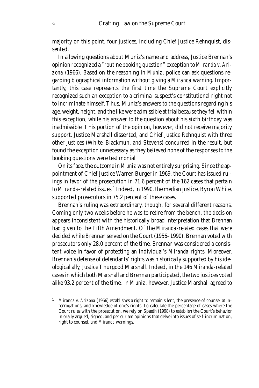majority on this point, four justices, including Chief Justice Rehnquist, dissented.

In allowing questions about Muniz's name and address, Justice Brennan's opinion recognized a "routine booking question" exception to *Miranda v. Arizona* (1966). Based on the reasoning in *Muniz,* police can ask questions regarding biographical information without giving a *Miranda* warning. Importantly, this case represents the first time the Supreme Court explicitly recognized such an exception to a criminal suspect's constitutional right not to incriminate himself. Thus, Muniz's answers to the questions regarding his age, weight, height, and the like were admissible at trial because they fell within this exception, while his answer to the question about his sixth birthday was inadmissible. This portion of the opinion, however, did not receive majority support. Justice Marshall dissented, and Chief Justice Rehnquist with three other justices (White, Blackmun, and Stevens) concurred in the result, but found the exception unnecessary as they believed none of the responses to the booking questions were testimonial.

On its face, the outcome in *Muniz* was not entirely surprising. Since the appointment of Chief Justice Warren Burger in 1969, the Court has issued rulings in favor of the prosecution in 71.6 percent of the 162 cases that pertain to *Miranda*-related issues.<sup>1</sup> Indeed, in 1990, the median justice, Byron White, supported prosecutors in 75.2 percent of these cases.

Brennan's ruling was extraordinary, though, for several different reasons. Coming only two weeks before he was to retire from the bench, the decision appears inconsistent with the historically broad interpretation that Brennan had given to the Fifth Amendment. Of the *Miranda-*related cases that were decided while Brennan served on the Court (1956–1990), Brennan voted with prosecutors only 28.0 percent of the time. Brennan was considered a consistent voice in favor of protecting an individual's *Miranda* rights. Moreover, Brennan's defense of defendants' rights was historically supported by his ideological ally, Justice Thurgood Marshall. Indeed, in the 146 *Miranda*-related cases in which both Marshall and Brennan participated, the two justices voted alike 93.2 percent of the time. In *Muniz,* however, Justice Marshall agreed to

<sup>1</sup> *Miranda v. Arizona* (1966) establishes a right to remain silent, the presence of counsel at interrogations, and knowledge of one's rights. To calculate the percentage of cases where the Court rules with the prosecution, we rely on Spaeth (1998) to establish the Court's behavior in orally argued, signed, and per curiam opinions that delve into issues of self-incrimination, right to counsel, and *Miranda* warnings.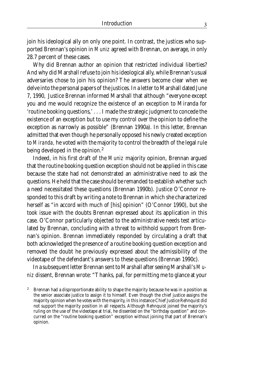join his ideological ally on only one point. In contrast, the justices who supported Brennan's opinion in *Muniz* agreed with Brennan, on average, in only 28.7 percent of these cases.

Why did Brennan author an opinion that restricted individual liberties? And why did Marshall refuse to join his ideological ally, while Brennan's usual adversaries chose to join his opinion? The answers become clear when we delve into the personal papers of the justices. In a letter to Marshall dated June 7, 1990, Justice Brennan informed Marshall that although "everyone except you and me would recognize the existence of an exception to Miranda for 'routine booking questions,' . . . I made the strategic judgment to concede the existence of an exception but to use my control over the opinion to define the exception as narrowly as possible" (Brennan 1990a). In this letter, Brennan admitted that even though he personally opposed his newly created exception to *Miranda,* he voted with the majority to control the breadth of the legal rule being developed in the opinion.<sup>2</sup>

Indeed, in his first draft of the *Muniz* majority opinion, Brennan argued that the routine booking question exception should not be applied in this case because the state had not demonstrated an administrative need to ask the questions. He held that the case should be remanded to establish whether such a need necessitated these questions (Brennan 1990b). Justice O'Connor responded to this draft by writing a note to Brennan in which she characterized herself as "in accord with much of [his] opinion" (O'Connor 1990), but she took issue with the doubts Brennan expressed about its application in this case. O'Connor particularly objected to the administrative needs test articulated by Brennan, concluding with a threat to withhold support from Brennan's opinion. Brennan immediately responded by circulating a draft that both acknowledged the presence of a routine booking question exception and removed the doubt he previously expressed about the admissibility of the videotape of the defendant's answers to these questions (Brennan 1990c).

In a subsequent letter Brennan sent to Marshall after seeing Marshall's *Muniz* dissent, Brennan wrote: "Thanks, pal, for permitting me to glance at your

<sup>2</sup> Brennan had a disproportionate ability to shape the majority because he was in a position as the senior associate justice to assign it to himself. Even though the chief justice assigns the majority opinion when he votes with the majority, in this instance Chief Justice Rehnquist did not support the majority position in all respects. Although Rehnquist joined the majority's ruling on the use of the videotape at trial, he dissented on the "birthday question" and concurred on the "routine booking question" exception without joining that part of Brennan's opinion.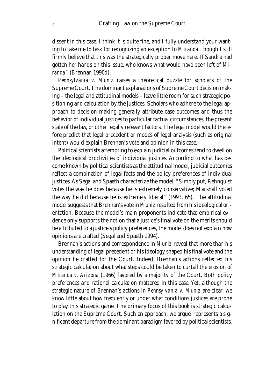dissent in this case. I think it is quite fine, and I fully understand your wanting to take me to task for recognizing an exception to *Miranda,* though I still firmly believe that this was the strategically proper move here. If Sandra had gotten her hands on this issue, who knows what would have been left of *Miranda*" (Brennan 1990d).

*Pennsylvania v. Muniz* raises a theoretical puzzle for scholars of the Supreme Court. The dominant explanations of Supreme Court decision making – the legal and attitudinal models – leave little room for such strategic positioning and calculation by the justices. Scholars who adhere to the legal approach to decision making generally attribute case outcomes and thus the behavior of individual justices to particular factual circumstances, the present state of the law, or other legally relevant factors. The legal model would therefore predict that legal precedent or modes of legal analysis (such as original intent) would explain Brennan's vote and opinion in this case.

Political scientists attempting to explain judicial outcomes tend to dwell on the ideological proclivities of individual justices. According to what has become known by political scientists as the attitudinal model, judicial outcomes reflect a combination of legal facts and the policy preferences of individual justices. As Segal and Spaeth characterize the model, "Simply put, Rehnquist votes the way he does because he is extremely conservative; Marshall voted the way he did because he is extremely liberal" (1993, 65). The attitudinal model suggests that Brennan's vote in *Muniz* resulted from his ideological orientation. Because the model's main proponents indicate that empirical evidence only supports the notion that a justice's final vote on the merits should be attributed to a justice's policy preferences, the model does not explain how opinions are crafted (Segal and Spaeth 1994).

Brennan's actions and correspondence in *Muniz* reveal that more than his understanding of legal precedent or his ideology shaped his final vote and the opinion he crafted for the Court. Indeed, Brennan's actions reflected his strategic calculation about what steps could be taken to curtail the erosion of *Miranda v. Arizona* (1966) favored by a majority of the Court. Both policy preferences and rational calculation mattered in this case. Yet, although the strategic nature of Brennan's actions in *Pennsylvania v. Muniz* are clear, we know little about how frequently or under what conditions justices are prone to play this strategic game. The primary focus of this book is strategic calculation on the Supreme Court. Such an approach, we argue, represents a significant departure from the dominant paradigm favored by political scientists,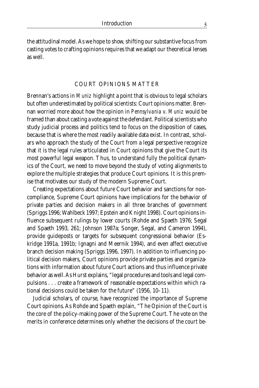the attitudinal model. As we hope to show, shifting our substantive focus from casting votes to crafting opinions requires that we adapt our theoretical lenses as well.

### COURT OPINIONS MATTER

Brennan's actions in *Muniz* highlight a point that is obvious to legal scholars but often underestimated by political scientists: Court opinions matter. Brennan worried more about how the opinion in *Pennsylvania v. Muniz* would be framed than about casting a vote against the defendant. Political scientists who study judicial process and politics tend to focus on the disposition of cases, because that is where the most readily available data exist. In contrast, scholars who approach the study of the Court from a legal perspective recognize that it is the legal rules articulated in Court opinions that give the Court its most powerful legal weapon. Thus, to understand fully the political dynamics of the Court, we need to move beyond the study of voting alignments to explore the multiple strategies that produce Court opinions. It is this premise that motivates our study of the modern Supreme Court.

Creating expectations about future Court behavior and sanctions for noncompliance, Supreme Court opinions have implications for the behavior of private parties and decision makers in all three branches of government (Spriggs 1996; Wahlbeck 1997; Epstein and Knight 1998). Court opinions influence subsequent rulings by lower courts (Rohde and Spaeth 1976; Segal and Spaeth 1993, 261; Johnson 1987a; Songer, Segal, and Cameron 1994), provide guideposts or targets for subsequent congressional behavior (Eskridge 1991a, 1991b; Ignagni and Meernik 1994), and even affect executive branch decision making (Spriggs 1996, 1997). In addition to influencing political decision makers, Court opinions provide private parties and organizations with information about future Court actions and thus influence private behavior as well. As Hurst explains, "legal procedures and tools and legal compulsions . . . create a framework of reasonable expectations within which rational decisions could be taken for the future" (1956, 10–11).

Judicial scholars, of course, have recognized the importance of Supreme Court opinions. As Rohde and Spaeth explain, "The Opinion of the Court is the core of the policy-making power of the Supreme Court. The vote on the merits in conference determines only whether the decisions of the court be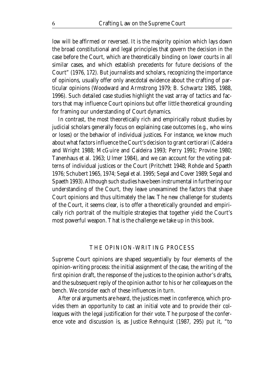low will be affirmed or reversed. It is the majority opinion which lays down the broad constitutional and legal principles that govern the decision in the case before the Court, which are theoretically binding on lower courts in all similar cases, and which establish precedents for future decisions of the Court" (1976, 172). But journalists and scholars, recognizing the importance of opinions, usually offer only anecdotal evidence about the crafting of particular opinions (Woodward and Armstrong 1979; B. Schwartz 1985, 1988, 1996). Such detailed case studies highlight the vast array of tactics and factors that may influence Court opinions but offer little theoretical grounding for framing our understanding of Court dynamics.

In contrast, the most theoretically rich and empirically robust studies by judicial scholars generally focus on explaining case outcomes (e.g., who wins or loses) or the behavior of individual justices. For instance, we know much about what factors influence the Court's decision to grant certiorari (Caldeira and Wright 1988; McGuire and Caldeira 1993; Perry 1991; Provine 1980; Tanenhaus et al. 1963; Ulmer 1984), and we can account for the voting patterns of individual justices or the Court (Pritchett 1948; Rohde and Spaeth 1976; Schubert 1965, 1974; Segal et al. 1995; Segal and Cover 1989; Segal and Spaeth 1993). Although such studies have been instrumental in furthering our understanding of the Court, they leave unexamined the factors that shape Court opinions and thus ultimately the law. The new challenge for students of the Court, it seems clear, is to offer a theoretically grounded and empirically rich portrait of the multiple strategies that together yield the Court's most powerful weapon. That is the challenge we take up in this book.

### THE OPINION-WRITING PROCESS

Supreme Court opinions are shaped sequentially by four elements of the opinion-writing process: the initial assignment of the case, the writing of the first opinion draft, the response of the justices to the opinion author's drafts, and the subsequent reply of the opinion author to his or her colleagues on the bench. We consider each of these influences in turn.

After oral arguments are heard, the justices meet in conference, which provides them an opportunity to cast an initial vote and to provide their colleagues with the legal justification for their vote. The purpose of the conference vote and discussion is, as Justice Rehnquist (1987, 295) put it, "to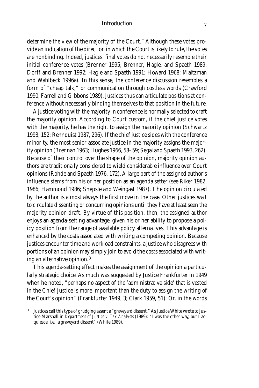determine the view of the majority of the Court." Although these votes provide an indication of the direction in which the Court is likely to rule, the votes are nonbinding. Indeed, justices' final votes do not necessarily resemble their initial conference votes (Brenner 1995; Brenner, Hagle, and Spaeth 1989; Dorff and Brenner 1992; Hagle and Spaeth 1991; Howard 1968; Maltzman and Wahlbeck 1996a). In this sense, the conference discussion resembles a form of "cheap talk," or communication through costless words (Crawford 1990; Farrell and Gibbons 1989). Justices thus can articulate positions at conference without necessarily binding themselves to that position in the future.

A justice voting with the majority in conference is normally selected to craft the majority opinion. According to Court custom, if the chief justice votes with the majority, he has the right to assign the majority opinion (Schwartz 1993, 152; Rehnquist 1987, 296). If the chief justice sides with the conference minority, the most senior associate justice in the majority assigns the majority opinion (Brennan 1963; Hughes 1966, 58–59; Segal and Spaeth 1993, 262). Because of their control over the shape of the opinion, majority opinion authors are traditionally considered to wield considerable influence over Court opinions (Rohde and Spaeth 1976, 172). A large part of the assigned author's influence stems from his or her position as an agenda setter (see Riker 1982, 1986; Hammond 1986; Shepsle and Weingast 1987). The opinion circulated by the author is almost always the first move in the case. Other justices wait to circulate dissenting or concurring opinions until they have at least seen the majority opinion draft. By virtue of this position, then, the assigned author enjoys an agenda-setting advantage, given his or her ability to propose a policy position from the range of available policy alternatives. This advantage is enhanced by the costs associated with writing a competing opinion. Because justices encounter time and workload constraints, a justice who disagrees with portions of an opinion may simply join to avoid the costs associated with writing an alternative opinion.3

This agenda-setting effect makes the assignment of the opinion a particularly strategic choice. As much was suggested by Justice Frankfurter in 1949 when he noted, "perhaps no aspect of the 'administrative side' that is vested in the Chief Justice is more important than the duty to assign the writing of the Court's opinion" (Frankfurter 1949, 3; Clark 1959, 51). Or, in the words

<sup>3</sup> Justices call this type of grudging assent a "graveyard dissent." As Justice White wrote to Justice Marshall in *Department of Justice v. Tax Analysts* (1989): "I was the other way, but I acquiesce, i.e., a graveyard dissent" (White 1989).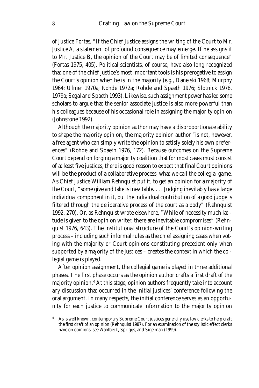of Justice Fortas, "If the Chief Justice assigns the writing of the Court to Mr. Justice A, a statement of profound consequence may emerge. If he assigns it to Mr. Justice B, the opinion of the Court may be of limited consequence" (Fortas 1975, 405). Political scientists, of course, have also long recognized that one of the chief justice's most important tools is his prerogative to assign the Court's opinion when he is in the majority (e.g., Danelski 1968; Murphy 1964; Ulmer 1970a; Rohde 1972a; Rohde and Spaeth 1976; Slotnick 1978, 1979a; Segal and Spaeth 1993). Likewise, such assignment power has led some scholars to argue that the senior associate justice is also more powerful than his colleagues because of his occasional role in assigning the majority opinion (Johnstone 1992).

Although the majority opinion author may have a disproportionate ability to shape the majority opinion, the majority opinion author "is not, however, a free agent who can simply write the opinion to satisfy solely his own preferences" (Rohde and Spaeth 1976, 172). Because outcomes on the Supreme Court depend on forging a majority coalition that for most cases must consist of at least five justices, there is good reason to expect that final Court opinions will be the product of a collaborative process, what we call the collegial game. As Chief Justice William Rehnquist put it, to get an opinion for a majority of the Court, "some give and take is inevitable. . . . Judging inevitably has a large individual component in it, but the individual contribution of a good judge is filtered through the deliberative process of the court as a body" (Rehnquist 1992, 270). Or, as Rehnquist wrote elsewhere, "While of necessity much latitude is given to the opinion writer, there are inevitable compromises" (Rehnquist 1976, 643). The institutional structure of the Court's opinion-writing process – including such informal rules as the chief assigning cases when voting with the majority or Court opinions constituting precedent only when supported by a majority of the justices – creates the context in which the collegial game is played.

After opinion assignment, the collegial game is played in three additional phases. The first phase occurs as the opinion author crafts a first draft of the majority opinion.<sup>4</sup> At this stage, opinion authors frequently take into account any discussion that occurred in the initial justices' conference following the oral argument. In many respects, the initial conference serves as an opportunity for each justice to communicate information to the majority opinion

<sup>4</sup> As is well known, contemporary Supreme Court justices generally use law clerks to help craft the first draft of an opinion (Rehnquist 1987). For an examination of the stylistic effect clerks have on opinions, see Wahlbeck, Spriggs, and Sigelman (1999).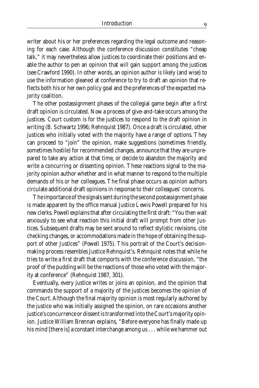writer about his or her preferences regarding the legal outcome and reasoning for each case. Although the conference discussion constitutes "cheap talk," it may nevertheless allow justices to coordinate their positions and enable the author to pen an opinion that will gain support among the justices (see Crawford 1990). In other words, an opinion author is likely (and wise) to use the information gleaned at conference to try to draft an opinion that reflects both his or her own policy goal and the preferences of the expected majority coalition.

The other postassignment phases of the collegial game begin after a first draft opinion is circulated. Now a process of give-and-take occurs among the justices. Court custom is for the justices to respond to the draft opinion in writing (B. Schwartz 1996; Rehnquist 1987). Once a draft is circulated, other justices who initially voted with the majority have a range of options. They can proceed to "join" the opinion, make suggestions (sometimes friendly, sometimes hostile) for recommended changes, announce that they are unprepared to take any action at that time, or decide to abandon the majority and write a concurring or dissenting opinion. These reactions signal to the majority opinion author whether and in what manner to respond to the multiple demands of his or her colleagues. The final phase occurs as opinion authors circulate additional draft opinions in response to their colleagues' concerns.

The importance of the signals sent during the second postassignment phase is made apparent by the office manual Justice Lewis Powell prepared for his new clerks. Powell explains that after circulating the first draft: "You then wait anxiously to see what reaction this initial draft will prompt from other Justices. Subsequent drafts may be sent around to reflect stylistic revisions, cite checking changes, or accommodations made in the hope of obtaining the support of other Justices" (Powell 1975). This portrait of the Court's decisionmaking process resembles Justice Rehnquist's. Rehnquist notes that while he tries to write a first draft that comports with the conference discussion, "the proof of the pudding will be the reactions of those who voted with the majority at conference" (Rehnquist 1987, 301).

Eventually, every justice writes or joins an opinion, and the opinion that commands the support of a majority of the justices becomes the opinion of the Court. Although the final majority opinion is most regularly authored by the justice who was initially assigned the opinion, on rare occasions another justice's concurrence or dissent is transformed into the Court's majority opinion. Justice William Brennan explains, "Before everyone has finally made up his mind [there is] a constant interchange among us . . . while we hammer out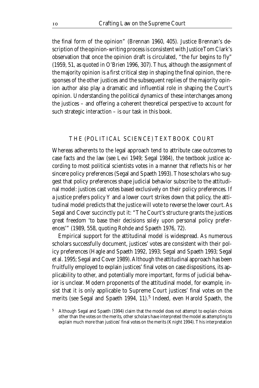the final form of the opinion" (Brennan 1960, 405). Justice Brennan's description of the opinion-writing process is consistent with Justice Tom Clark's observation that once the opinion draft is circulated, "the fur begins to fly" (1959, 51, as quoted in O'Brien 1996, 307). Thus, although the assignment of the majority opinion is a first critical step in shaping the final opinion, the responses of the other justices and the subsequent replies of the majority opinion author also play a dramatic and influential role in shaping the Court's opinion. Understanding the political dynamics of these interchanges among the justices – and offering a coherent theoretical perspective to account for such strategic interaction – is our task in this book.

### THE (POLITICAL SCIENCE) TEXTBOOK COURT

Whereas adherents to the legal approach tend to attribute case outcomes to case facts and the law (see Levi 1949; Segal 1984), the textbook justice according to most political scientists votes in a manner that reflects his or her sincere policy preferences (Segal and Spaeth 1993). Those scholars who suggest that policy preferences shape judicial behavior subscribe to the attitudinal model: justices cast votes based exclusively on their policy preferences. If a justice prefers policy Y and a lower court strikes down that policy, the attitudinal model predicts that the justice will vote to reverse the lower court. As Segal and Cover succinctly put it: "The Court's structure grants the justices great freedom 'to base their decisions *solely* upon personal policy preferences'" (1989, 558, quoting Rohde and Spaeth 1976, 72).

Empirical support for the attitudinal model is widespread. As numerous scholars successfully document, justices' votes are consistent with their policy preferences (Hagle and Spaeth 1992, 1993; Segal and Spaeth 1993; Segal et al. 1995; Segal and Cover 1989). Although the attitudinal approach has been fruitfully employed to explain justices' final votes on case dispositions, its applicability to other, and potentially more important, forms of judicial behavior is unclear. Modern proponents of the attitudinal model, for example, insist that it is only applicable to Supreme Court justices' final votes on the merits (see Segal and Spaeth 1994, 11).<sup>5</sup> Indeed, even Harold Spaeth, the

<sup>5</sup> Although Segal and Spaeth (1994) claim that the model does not attempt to explain choices other than the votes on the merits, other scholars have interpreted the model as attempting to explain much more than justices' final votes on the merits (Knight 1994). This interpretation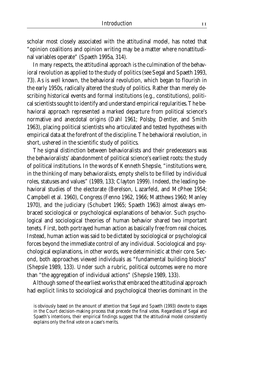scholar most closely associated with the attitudinal model, has noted that "opinion coalitions and opinion writing may be a matter where nonattitudinal variables operate" (Spaeth 1995a, 314).

In many respects, the attitudinal approach is the culmination of the behavioral revolution as applied to the study of politics (see Segal and Spaeth 1993, 73). As is well known, the behavioral revolution, which began to flourish in the early 1950s, radically altered the study of politics. Rather than merely describing historical events and formal institutions (e.g., constitutions), political scientists sought to identify and understand empirical regularities. The behavioral approach represented a marked departure from political science's normative and anecdotal origins (Dahl 1961; Polsby, Dentler, and Smith 1963), placing political scientists who articulated and tested hypotheses with empirical data at the forefront of the discipline. The behavioral revolution, in short, ushered in the scientific study of politics.

The signal distinction between behavioralists and their predecessors was the behavioralists' abandonment of political science's earliest roots: the study of political institutions. In the words of Kenneth Shepsle, "institutions were, in the thinking of many behavioralists, empty shells to be filled by individual roles, statuses and values" (1989, 133; Clayton 1999). Indeed, the leading behavioral studies of the electorate (Berelson, Lazarfeld, and McPhee 1954; Campbell et al. 1960), Congress (Fenno 1962, 1966; Matthews 1960; Manley 1970), and the judiciary (Schubert 1965; Spaeth 1963) almost always embraced sociological or psychological explanations of behavior. Such psychological and sociological theories of human behavior shared two important tenets. First, both portrayed human action as basically free from real choices. Instead, human action was said to be dictated by sociological or psychological forces beyond the immediate control of any individual. Sociological and psychological explanations, in other words, were deterministic at their core. Second, both approaches viewed individuals as "fundamental building blocks" (Shepsle 1989, 133). Under such a rubric, political outcomes were no more than "the aggregation of individual actions" (Shepsle 1989, 133).

Although some of the earliest works that embraced the attitudinal approach had explicit links to sociological and psychological theories dominant in the

is obviously based on the amount of attention that Segal and Spaeth (1993) devote to stages in the Court decision-making process that precede the final votes. Regardless of Segal and Spaeth's intentions, their empirical findings suggest that the attitudinal model consistently explains only the final vote on a case's merits.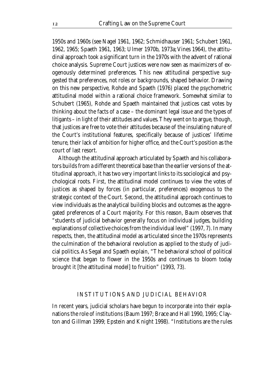1950s and 1960s (see Nagel 1961, 1962; Schmidhauser 1961; Schubert 1961, 1962, 1965; Spaeth 1961, 1963; Ulmer 1970b, 1973a; Vines 1964), the attitudinal approach took a significant turn in the 1970s with the advent of rational choice analysis. Supreme Court justices were now seen as maximizers of exogenously determined preferences. This new attitudinal perspective suggested that preferences, not roles or backgrounds, shaped behavior. Drawing on this new perspective, Rohde and Spaeth (1976) placed the psychometric attitudinal model within a rational choice framework. Somewhat similar to Schubert (1965), Rohde and Spaeth maintained that justices cast votes by thinking about the facts of a case – the dominant legal issue and the types of litigants – in light of their attitudes and values. They went on to argue, though, that justices are free to vote their attitudes because of the insulating nature of the Court's institutional features, specifically because of justices' lifetime tenure, their lack of ambition for higher office, and the Court's position as the court of last resort.

Although the attitudinal approach articulated by Spaeth and his collaborators builds from a different theoretical base than the earlier versions of the attitudinal approach, it has two very important links to its sociological and psychological roots. First, the attitudinal model continues to view the votes of justices as shaped by forces (in particular, preferences) exogenous to the strategic context of the Court. Second, the attitudinal approach continues to view individuals as the analytical building blocks and outcomes as the aggregated preferences of a Court majority. For this reason, Baum observes that "students of judicial behavior generally focus on individual judges, building explanations of collective choices from the individual level" (1997, 7). In many respects, then, the attitudinal model as articulated since the 1970s represents the culmination of the behavioral revolution as applied to the study of judicial politics. As Segal and Spaeth explain, "The behavioral school of political science that began to flower in the 1950s and continues to bloom today brought it [the attitudinal model] to fruition" (1993, 73).

### INSTITUTIONS AND JUDICIAL BEHAVIOR

In recent years, judicial scholars have begun to incorporate into their explanations the role of institutions (Baum 1997; Brace and Hall 1990, 1995; Clayton and Gillman 1999; Epstein and Knight 1998). "Institutions are the rules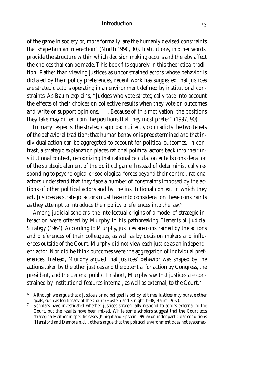of the game in society or, more formally, are the humanly devised constraints that shape human interaction" (North 1990, 30). Institutions, in other words, provide the structure within which decision making occurs and thereby affect the choices that can be made. This book fits squarely in this theoretical tradition. Rather than viewing justices as unconstrained actors whose behavior is dictated by their policy preferences, recent work has suggested that justices are strategic actors operating in an environment defined by institutional constraints. As Baum explains, "Judges who vote strategically take into account the effects of their choices on collective results when they vote on outcomes and write or support opinions. . . . Because of this motivation, the positions they take may differ from the positions that they most prefer" (1997, 90).

In many respects, the strategic approach directly contradicts the two tenets of the behavioral tradition: that human behavior is predetermined and that individual action can be aggregated to account for political outcomes. In contrast, a strategic explanation places rational political actors back into their institutional context, recognizing that rational calculation entails consideration of the strategic element of the political game. Instead of deterministically responding to psychological or sociological forces beyond their control, rational actors understand that they face a number of constraints imposed by the actions of other political actors and by the institutional context in which they act. Justices as strategic actors must take into consideration these constraints as they attempt to introduce their policy preferences into the law.6

Among judicial scholars, the intellectual origins of a model of strategic interaction were offered by Murphy in his pathbreaking *Elements of Judicial Strategy* (1964). According to Murphy, justices are constrained by the actions and preferences of their colleagues, as well as by decision makers and influences outside of the Court. Murphy did not view each justice as an independent actor. Nor did he think outcomes were the aggregation of individual preferences. Instead, Murphy argued that justices' behavior was shaped by the actions taken by the other justices and the potential for action by Congress, the president, and the general public. In short, Murphy saw that justices are constrained by institutional features internal, as well as external, to the Court.<sup>7</sup>

Although we argue that a justice's principal goal is policy, at times justices may pursue other goals, such as legitimacy of the Court (Epstein and Knight 1998; Baum 1997).

Scholars have investigated whether justices strategically respond to actors external to the Court, but the results have been mixed. While some scholars suggest that the Court acts strategically either in specific cases (Knight and Epstein 1996a) or under particular conditions (Hansford and Damore n.d.), others argue that the political environment does not systemat-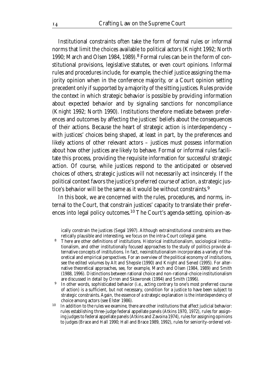Institutional constraints often take the form of formal rules or informal norms that limit the choices available to political actors (Knight 1992; North 1990; March and Olsen 1984, 1989).<sup>8</sup> Formal rules can be in the form of constitutional provisions, legislative statutes, or even court opinions. Informal rules and procedures include, for example, the chief justice assigning the majority opinion when in the conference majority, or a Court opinion setting precedent only if supported by a majority of the sitting justices. Rules provide the context in which strategic behavior is possible by providing information about expected behavior and by signaling sanctions for noncompliance (Knight 1992; North 1990). Institutions therefore mediate between preferences and outcomes by affecting the justices' beliefs about the consequences of their actions. Because the heart of strategic action is interdependency – with justices' choices being shaped, at least in part, by the preferences and likely actions of other relevant actors – justices must possess information about how other justices are likely to behave. Formal or informal rules facilitate this process, providing the requisite information for successful strategic action. Of course, while justices respond to the anticipated or observed choices of others, strategic justices will not necessarily act insincerely. If the political context favors the justice's preferred course of action, a strategic justice's behavior will be the same as it would be without constraints.9

In this book, we are concerned with the rules, procedures, and norms, internal to the Court, that constrain justices' capacity to translate their preferences into legal policy outcomes.<sup>10</sup> The Court's agenda-setting, opinion-as-

ically constrain the justices (Segal 1997). Although extrainstitutional constraints are theoretically plausible and interesting, we focus on the intra-Court collegial game.

- There are other definitions of institutions. Historical institutionalism, sociological institutionalism, and other institutionally focused approaches to the study of politics provide alternative concepts of institutions. In fact, neoinstitutionalism incorporates a variety of theoretical and empirical perspectives. For an overview of the political economy of institutions, see the edited volumes by Alt and Shepsle (1990) and Knight and Sened (1995). For alternative theoretical approaches, see, for example, March and Olsen (1984, 1989) and Smith (1988, 1996). Distinctions between rational choice and non-rational-choice institutionalism
- are discussed in detail by Orren and Skowronek (1994) and Smith (1996).<br><sup>9</sup> In other words, sophisticated behavior (i.e., acting contrary to one's most preferred course of action) is a sufficient, but not necessary, condition for a justice to have been subject to strategic constraints. Again, the essence of a strategic explanation is the interdependency of choice among actors (see Elster 1986).
- $10$  In addition to the rules we examine, there are other institutions that affect judicial behavior: rules establishing three-judge federal appellate panels (Atkins 1970, 1972), rules for assigning judges to federal appellate panels (Atkins and Zavoina 1974), rules for assigning opinions to judges (Brace and Hall 1990; Hall and Brace 1989, 1992), rules for seniority-ordered vot-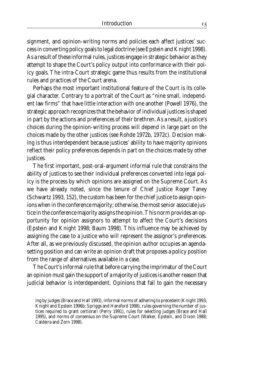signment, and opinion-writing norms and policies each affect justices' success in converting policy goals to legal doctrine (see Epstein and Knight 1998). As a result of these informal rules, justices engage in strategic behavior as they attempt to shape the Court's policy output into conformance with their policy goals. The intra-Court strategic game thus results from the institutional rules and practices of the Court arena.

Perhaps the most important institutional feature of the Court is its collegial character. Contrary to a portrait of the Court as "nine small, independent law firms" that have little interaction with one another (Powell 1976), the strategic approach recognizes that the behavior of individual justices is shaped in part by the actions and preferences of their brethren. As a result, a justice's choices during the opinion-writing process will depend in large part on the choices made by the other justices (see Rohde 1972b, 1972c). Decision making is thus interdependent because justices' ability to have majority opinions reflect their policy preferences depends in part on the choices made by other justices.

The first important, post-oral-argument informal rule that constrains the ability of justices to see their individual preferences converted into legal policy is the process by which opinions are assigned on the Supreme Court. As we have already noted, since the tenure of Chief Justice Roger Taney (Schwartz 1993, 152), the custom has been for the chief justice to assign opinions when in the conference majority; otherwise, the most senior associate justice in the conference majority assigns the opinion. This norm provides an opportunity for opinion assignors to attempt to affect the Court's decisions (Epstein and Knight 1998; Baum 1998). This influence may be achieved by assigning the case to a justice who will represent the assignor's preferences. After all, as we previously discussed, the opinion author occupies an agendasetting position and can write an opinion draft that proposes a policy position from the range of alternatives available in a case.

The Court's informal rule that before carrying the imprimatur of the Court an opinion must gain the support of a majority of justices is another reason that judicial behavior is interdependent. Opinions that fail to gain the necessary

ing by judges (Brace and Hall 1993), informal norms of adhering to precedent (Knight 1993; Knight and Epstein 1996b; Spriggs and Hansford 1998), rules governing the number of justices required to grant certiorari (Perry 1991), rules for selecting judges (Brace and Hall 1995), and norms of consensus on the Supreme Court (Walker, Epstein, and Dixon 1988; Caldeira and Zorn 1998).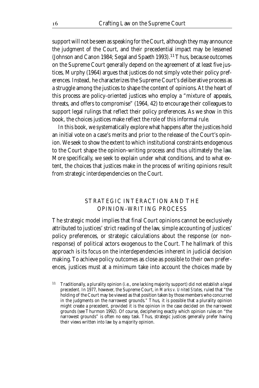support will not be seen as speaking for the Court, although they may announce the judgment of the Court, and their precedential impact may be lessened (Johnson and Canon 1984; Segal and Spaeth 1993).<sup>11</sup> Thus, because outcomes on the Supreme Court generally depend on the agreement of at least five justices, Murphy (1964) argues that justices do not simply vote their policy preferences. Instead, he characterizes the Supreme Court's deliberative process as a struggle among the justices to shape the content of opinions. At the heart of this process are policy-oriented justices who employ a "mixture of appeals, threats, and offers to compromise" (1964, 42) to encourage their colleagues to support legal rulings that reflect their policy preferences. As we show in this book, the choices justices make reflect the role of this informal rule.

In this book, we systematically explore what happens after the justices hold an initial vote on a case's merits and prior to the release of the Court's opinion. We seek to show the extent to which institutional constraints endogenous to the Court shape the opinion-writing process and thus ultimately the law. More specifically, we seek to explain under what conditions, and to what extent, the choices that justices make in the process of writing opinions result from strategic interdependencies on the Court.

### STRATEGIC INTERACTION AND THE OPINION-WRITING PROCESS

The strategic model implies that final Court opinions cannot be exclusively attributed to justices' strict reading of the law, simple accounting of justices' policy preferences, or strategic calculations about the response (or nonresponse) of political actors exogenous to the Court. The hallmark of this approach is its focus on the interdependencies inherent in judicial decision making. To achieve policy outcomes as close as possible to their own preferences, justices must at a minimum take into account the choices made by

<sup>&</sup>lt;sup>11</sup> Traditionally, a plurality opinion (i.e., one lacking majority support) did not establish a legal precedent. In 1977, however, the Supreme Court, in *Marks v. United States,* ruled that "the holding of the Court may be viewed as that position taken by those members who concurred in the judgments on the narrowest grounds." Thus, it is possible that a plurality opinion might create a precedent, provided it is the opinion in the case decided on the narrowest grounds (see Thurmon 1992). Of course, deciphering exactly which opinion rules on "the narrowest grounds" is often no easy task. Thus, strategic justices generally prefer having their views written into law by a majority opinion.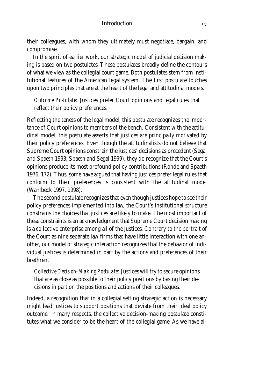their colleagues, with whom they ultimately must negotiate, bargain, and compromise.

In the spirit of earlier work, our strategic model of judicial decision making is based on two postulates. These postulates broadly define the contours of what we view as the collegial court game. Both postulates stem from institutional features of the American legal system. The first postulate touches upon two principles that are at the heart of the legal and attitudinal models.

*Outcome Postulate:* Justices prefer Court opinions and legal rules that reflect their policy preferences.

Reflecting the tenets of the legal model, this postulate recognizes the importance of Court opinions to members of the bench. Consistent with the attitudinal model, this postulate asserts that justices are principally motivated by their policy preferences. Even though the attitudinalists do not believe that Supreme Court opinions constrain the justices' decisions as precedent (Segal and Spaeth 1993; Spaeth and Segal 1999), they do recognize that the Court's opinions produce its most profound policy contributions (Rohde and Spaeth 1976, 172). Thus, some have argued that having justices prefer legal rules that conform to their preferences is consistent with the attitudinal model (Wahlbeck 1997, 1998).

The second postulate recognizes that even though justices hope to see their policy preferences implemented into law, the Court's institutional structure constrains the choices that justices are likely to make. The most important of these constraints is an acknowledgment that Supreme Court decision making is a collective enterprise among all of the justices. Contrary to the portrait of the Court as nine separate law firms that have little interaction with one another, our model of strategic interaction recognizes that the behavior of individual justices is determined in part by the actions and preferences of their brethren.

*Collective Decision-Making Postulate:*Justices will try to secure opinions that are as close as possible to their policy positions by basing their decisions in part on the positions and actions of their colleagues.

Indeed, a recognition that in a collegial setting strategic action is necessary might lead justices to support positions that deviate from their ideal policy outcome. In many respects, the collective decision-making postulate constitutes what we consider to be the heart of the collegial game. As we have al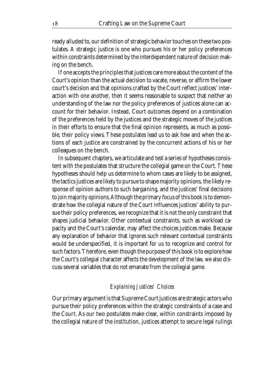ready alluded to, our definition of strategic behavior touches on these two postulates. A strategic justice is one who pursues his or her policy preferences within constraints determined by the interdependent nature of decision making on the bench.

If one accepts the principles that justices care more about the content of the Court's opinion than the actual decision to vacate, reverse, or affirm the lower court's decision and that opinions crafted by the Court reflect justices' interaction with one another, then it seems reasonable to suspect that neither an understanding of the law nor the policy preferences of justices alone can account for their behavior. Instead, Court outcomes depend on a combination of the preferences held by the justices and the strategic moves of the justices in their efforts to ensure that the final opinion represents, as much as possible, their policy views. These postulates lead us to ask how and when the actions of each justice are constrained by the concurrent actions of his or her colleagues on the bench.

In subsequent chapters, we articulate and test a series of hypotheses consistent with the postulates that structure the collegial game on the Court. These hypotheses should help us determine to whom cases are likely to be assigned, the tactics justices are likely to pursue to shape majority opinions, the likely response of opinion authors to such bargaining, and the justices' final decisions to join majority opinions. Although the primary focus of this book is to demonstrate how the collegial nature of the Court influences justices' ability to pursue their policy preferences, we recognize that it is not the only constraint that shapes judicial behavior. Other contextual constraints, such as workload capacity and the Court's calendar, may affect the choices justices make. Because any explanation of behavior that ignores such relevant contextual constraints would be underspecified, it is important for us to recognize and control for such factors. Therefore, even though the purpose of this book is to explore how the Court's collegial character affects the development of the law, we also discuss several variables that do not emanate from the collegial game.

### *Explaining Justices' Choices*

Our primary argument is that Supreme Court justices are strategic actors who pursue their policy preferences within the strategic constraints of a case and the Court. As our two postulates make clear, within constraints imposed by the collegial nature of the institution, justices attempt to secure legal rulings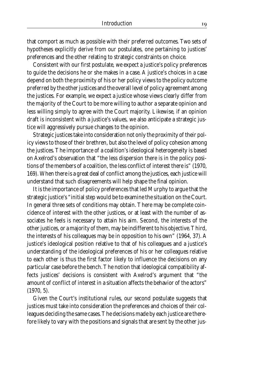that comport as much as possible with their preferred outcomes. Two sets of hypotheses explicitly derive from our postulates, one pertaining to justices' preferences and the other relating to strategic constraints on choice.

Consistent with our first postulate, we expect a justice's policy preferences to guide the decisions he or she makes in a case. A justice's choices in a case depend on both the proximity of his or her policy views to the policy outcome preferred by the other justices and the overall level of policy agreement among the justices. For example, we expect a justice whose views clearly differ from the majority of the Court to be more willing to author a separate opinion and less willing simply to agree with the Court majority. Likewise, if an opinion draft is inconsistent with a justice's values, we also anticipate a strategic justice will aggressively pursue changes to the opinion.

Strategic justices take into consideration not only the proximity of their policy views to those of their brethren, but also the level of policy cohesion among the justices. The importance of a coalition's ideological heterogeneity is based on Axelrod's observation that "the less dispersion there is in the policy positions of the members of a coalition, the less conflict of interest there is" (1970, 169). When there is a great deal of conflict among the justices, each justice will understand that such disagreements will help shape the final opinion.

It is the importance of policy preferences that led Murphy to argue that the strategic justice's "initial step would be to examine the situation on the Court. In general three sets of conditions may obtain. There may be complete coincidence of interest with the other justices, or at least with the number of associates he feels is necessary to attain his aim. Second, the interests of the other justices, or a majority of them, may be indifferent to his objective. Third, the interests of his colleagues may be in opposition to his own" (1964, 37). A justice's ideological position relative to that of his colleagues and a justice's understanding of the ideological preferences of his or her colleagues relative to each other is thus the first factor likely to influence the decisions on any particular case before the bench. The notion that ideological compatibility affects justices' decisions is consistent with Axelrod's argument that "the amount of conflict of interest in a situation affects the behavior of the actors" (1970, 5).

Given the Court's institutional rules, our second postulate suggests that justices must take into consideration the preferences and choices of their colleagues deciding the same cases. The decisions made by each justice are therefore likely to vary with the positions and signals that are sent by the other jus-